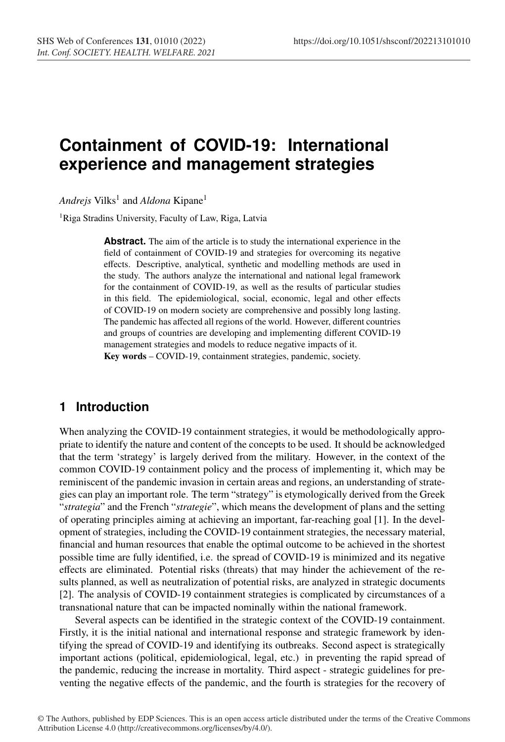# **Containment of COVID-19: International experience and management strategies**

*Andrejs* Vilks<sup>1</sup> and *Aldona* Kipane<sup>1</sup>

<sup>1</sup>Riga Stradins University, Faculty of Law, Riga, Latvia

**Abstract.** The aim of the article is to study the international experience in the field of containment of COVID-19 and strategies for overcoming its negative effects. Descriptive, analytical, synthetic and modelling methods are used in the study. The authors analyze the international and national legal framework for the containment of COVID-19, as well as the results of particular studies in this field. The epidemiological, social, economic, legal and other effects of COVID-19 on modern society are comprehensive and possibly long lasting. The pandemic has affected all regions of the world. However, different countries and groups of countries are developing and implementing different COVID-19 management strategies and models to reduce negative impacts of it. Key words – COVID-19, containment strategies, pandemic, society.

#### **1 Introduction**

When analyzing the COVID-19 containment strategies, it would be methodologically appropriate to identify the nature and content of the concepts to be used. It should be acknowledged that the term 'strategy' is largely derived from the military. However, in the context of the common COVID-19 containment policy and the process of implementing it, which may be reminiscent of the pandemic invasion in certain areas and regions, an understanding of strategies can play an important role. The term "strategy" is etymologically derived from the Greek "*strategia*" and the French "*strategie*", which means the development of plans and the setting of operating principles aiming at achieving an important, far-reaching goal [1]. In the development of strategies, including the COVID-19 containment strategies, the necessary material, financial and human resources that enable the optimal outcome to be achieved in the shortest possible time are fully identified, i.e. the spread of COVID-19 is minimized and its negative effects are eliminated. Potential risks (threats) that may hinder the achievement of the results planned, as well as neutralization of potential risks, are analyzed in strategic documents [2]. The analysis of COVID-19 containment strategies is complicated by circumstances of a transnational nature that can be impacted nominally within the national framework.

Several aspects can be identified in the strategic context of the COVID-19 containment. Firstly, it is the initial national and international response and strategic framework by identifying the spread of COVID-19 and identifying its outbreaks. Second aspect is strategically important actions (political, epidemiological, legal, etc.) in preventing the rapid spread of the pandemic, reducing the increase in mortality. Third aspect - strategic guidelines for preventing the negative effects of the pandemic, and the fourth is strategies for the recovery of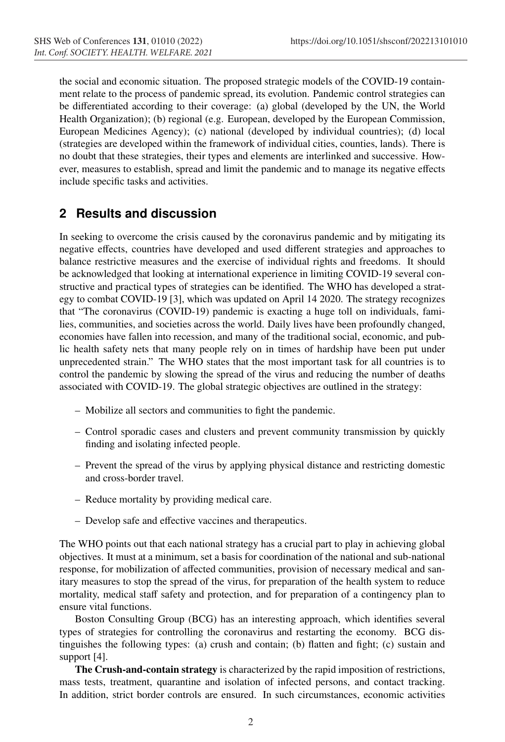the social and economic situation. The proposed strategic models of the COVID-19 containment relate to the process of pandemic spread, its evolution. Pandemic control strategies can be differentiated according to their coverage: (a) global (developed by the UN, the World Health Organization); (b) regional (e.g. European, developed by the European Commission, European Medicines Agency); (c) national (developed by individual countries); (d) local (strategies are developed within the framework of individual cities, counties, lands). There is no doubt that these strategies, their types and elements are interlinked and successive. However, measures to establish, spread and limit the pandemic and to manage its negative effects include specific tasks and activities.

## **2 Results and discussion**

In seeking to overcome the crisis caused by the coronavirus pandemic and by mitigating its negative effects, countries have developed and used different strategies and approaches to balance restrictive measures and the exercise of individual rights and freedoms. It should be acknowledged that looking at international experience in limiting COVID-19 several constructive and practical types of strategies can be identified. The WHO has developed a strategy to combat COVID-19 [3], which was updated on April 14 2020. The strategy recognizes that "The coronavirus (COVID-19) pandemic is exacting a huge toll on individuals, families, communities, and societies across the world. Daily lives have been profoundly changed, economies have fallen into recession, and many of the traditional social, economic, and public health safety nets that many people rely on in times of hardship have been put under unprecedented strain." The WHO states that the most important task for all countries is to control the pandemic by slowing the spread of the virus and reducing the number of deaths associated with COVID-19. The global strategic objectives are outlined in the strategy:

- Mobilize all sectors and communities to fight the pandemic.
- Control sporadic cases and clusters and prevent community transmission by quickly finding and isolating infected people.
- Prevent the spread of the virus by applying physical distance and restricting domestic and cross-border travel.
- Reduce mortality by providing medical care.
- Develop safe and effective vaccines and therapeutics.

The WHO points out that each national strategy has a crucial part to play in achieving global objectives. It must at a minimum, set a basis for coordination of the national and sub-national response, for mobilization of affected communities, provision of necessary medical and sanitary measures to stop the spread of the virus, for preparation of the health system to reduce mortality, medical staff safety and protection, and for preparation of a contingency plan to ensure vital functions.

Boston Consulting Group (BCG) has an interesting approach, which identifies several types of strategies for controlling the coronavirus and restarting the economy. BCG distinguishes the following types: (a) crush and contain; (b) flatten and fight; (c) sustain and support [4].

The Crush-and-contain strategy is characterized by the rapid imposition of restrictions, mass tests, treatment, quarantine and isolation of infected persons, and contact tracking. In addition, strict border controls are ensured. In such circumstances, economic activities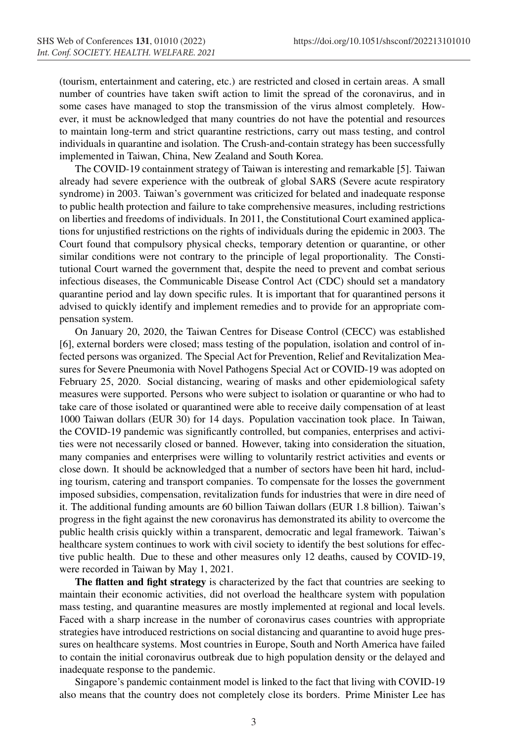(tourism, entertainment and catering, etc.) are restricted and closed in certain areas. A small number of countries have taken swift action to limit the spread of the coronavirus, and in some cases have managed to stop the transmission of the virus almost completely. However, it must be acknowledged that many countries do not have the potential and resources to maintain long-term and strict quarantine restrictions, carry out mass testing, and control individuals in quarantine and isolation. The Crush-and-contain strategy has been successfully implemented in Taiwan, China, New Zealand and South Korea.

The COVID-19 containment strategy of Taiwan is interesting and remarkable [5]. Taiwan already had severe experience with the outbreak of global SARS (Severe acute respiratory syndrome) in 2003. Taiwan's government was criticized for belated and inadequate response to public health protection and failure to take comprehensive measures, including restrictions on liberties and freedoms of individuals. In 2011, the Constitutional Court examined applications for unjustified restrictions on the rights of individuals during the epidemic in 2003. The Court found that compulsory physical checks, temporary detention or quarantine, or other similar conditions were not contrary to the principle of legal proportionality. The Constitutional Court warned the government that, despite the need to prevent and combat serious infectious diseases, the Communicable Disease Control Act (CDC) should set a mandatory quarantine period and lay down specific rules. It is important that for quarantined persons it advised to quickly identify and implement remedies and to provide for an appropriate compensation system.

On January 20, 2020, the Taiwan Centres for Disease Control (CECC) was established [6], external borders were closed; mass testing of the population, isolation and control of infected persons was organized. The Special Act for Prevention, Relief and Revitalization Measures for Severe Pneumonia with Novel Pathogens Special Act or COVID-19 was adopted on February 25, 2020. Social distancing, wearing of masks and other epidemiological safety measures were supported. Persons who were subject to isolation or quarantine or who had to take care of those isolated or quarantined were able to receive daily compensation of at least 1000 Taiwan dollars (EUR 30) for 14 days. Population vaccination took place. In Taiwan, the COVID-19 pandemic was significantly controlled, but companies, enterprises and activities were not necessarily closed or banned. However, taking into consideration the situation, many companies and enterprises were willing to voluntarily restrict activities and events or close down. It should be acknowledged that a number of sectors have been hit hard, including tourism, catering and transport companies. To compensate for the losses the government imposed subsidies, compensation, revitalization funds for industries that were in dire need of it. The additional funding amounts are 60 billion Taiwan dollars (EUR 1.8 billion). Taiwan's progress in the fight against the new coronavirus has demonstrated its ability to overcome the public health crisis quickly within a transparent, democratic and legal framework. Taiwan's healthcare system continues to work with civil society to identify the best solutions for effective public health. Due to these and other measures only 12 deaths, caused by COVID-19, were recorded in Taiwan by May 1, 2021.

The flatten and fight strategy is characterized by the fact that countries are seeking to maintain their economic activities, did not overload the healthcare system with population mass testing, and quarantine measures are mostly implemented at regional and local levels. Faced with a sharp increase in the number of coronavirus cases countries with appropriate strategies have introduced restrictions on social distancing and quarantine to avoid huge pressures on healthcare systems. Most countries in Europe, South and North America have failed to contain the initial coronavirus outbreak due to high population density or the delayed and inadequate response to the pandemic.

Singapore's pandemic containment model is linked to the fact that living with COVID-19 also means that the country does not completely close its borders. Prime Minister Lee has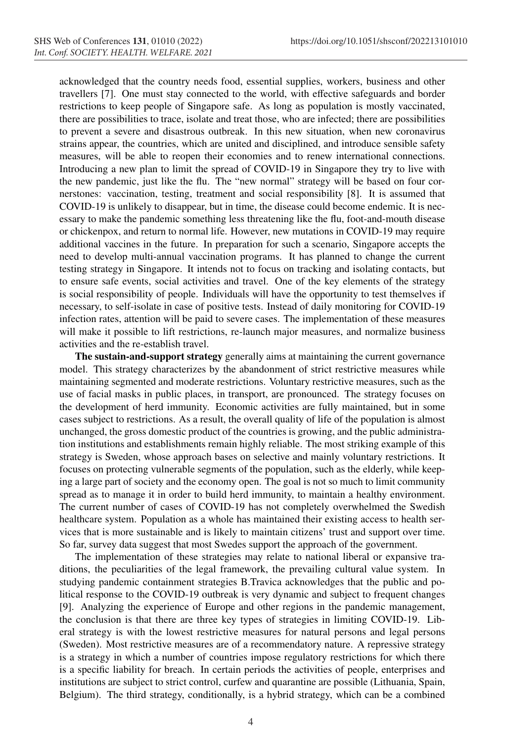acknowledged that the country needs food, essential supplies, workers, business and other travellers [7]. One must stay connected to the world, with effective safeguards and border restrictions to keep people of Singapore safe. As long as population is mostly vaccinated, there are possibilities to trace, isolate and treat those, who are infected; there are possibilities to prevent a severe and disastrous outbreak. In this new situation, when new coronavirus strains appear, the countries, which are united and disciplined, and introduce sensible safety measures, will be able to reopen their economies and to renew international connections. Introducing a new plan to limit the spread of COVID-19 in Singapore they try to live with the new pandemic, just like the flu. The "new normal" strategy will be based on four cornerstones: vaccination, testing, treatment and social responsibility [8]. It is assumed that COVID-19 is unlikely to disappear, but in time, the disease could become endemic. It is necessary to make the pandemic something less threatening like the flu, foot-and-mouth disease or chickenpox, and return to normal life. However, new mutations in COVID-19 may require additional vaccines in the future. In preparation for such a scenario, Singapore accepts the need to develop multi-annual vaccination programs. It has planned to change the current testing strategy in Singapore. It intends not to focus on tracking and isolating contacts, but to ensure safe events, social activities and travel. One of the key elements of the strategy is social responsibility of people. Individuals will have the opportunity to test themselves if necessary, to self-isolate in case of positive tests. Instead of daily monitoring for COVID-19 infection rates, attention will be paid to severe cases. The implementation of these measures will make it possible to lift restrictions, re-launch major measures, and normalize business activities and the re-establish travel.

The sustain-and-support strategy generally aims at maintaining the current governance model. This strategy characterizes by the abandonment of strict restrictive measures while maintaining segmented and moderate restrictions. Voluntary restrictive measures, such as the use of facial masks in public places, in transport, are pronounced. The strategy focuses on the development of herd immunity. Economic activities are fully maintained, but in some cases subject to restrictions. As a result, the overall quality of life of the population is almost unchanged, the gross domestic product of the countries is growing, and the public administration institutions and establishments remain highly reliable. The most striking example of this strategy is Sweden, whose approach bases on selective and mainly voluntary restrictions. It focuses on protecting vulnerable segments of the population, such as the elderly, while keeping a large part of society and the economy open. The goal is not so much to limit community spread as to manage it in order to build herd immunity, to maintain a healthy environment. The current number of cases of COVID-19 has not completely overwhelmed the Swedish healthcare system. Population as a whole has maintained their existing access to health services that is more sustainable and is likely to maintain citizens' trust and support over time. So far, survey data suggest that most Swedes support the approach of the government.

The implementation of these strategies may relate to national liberal or expansive traditions, the peculiarities of the legal framework, the prevailing cultural value system. In studying pandemic containment strategies B.Travica acknowledges that the public and political response to the COVID-19 outbreak is very dynamic and subject to frequent changes [9]. Analyzing the experience of Europe and other regions in the pandemic management, the conclusion is that there are three key types of strategies in limiting COVID-19. Liberal strategy is with the lowest restrictive measures for natural persons and legal persons (Sweden). Most restrictive measures are of a recommendatory nature. A repressive strategy is a strategy in which a number of countries impose regulatory restrictions for which there is a specific liability for breach. In certain periods the activities of people, enterprises and institutions are subject to strict control, curfew and quarantine are possible (Lithuania, Spain, Belgium). The third strategy, conditionally, is a hybrid strategy, which can be a combined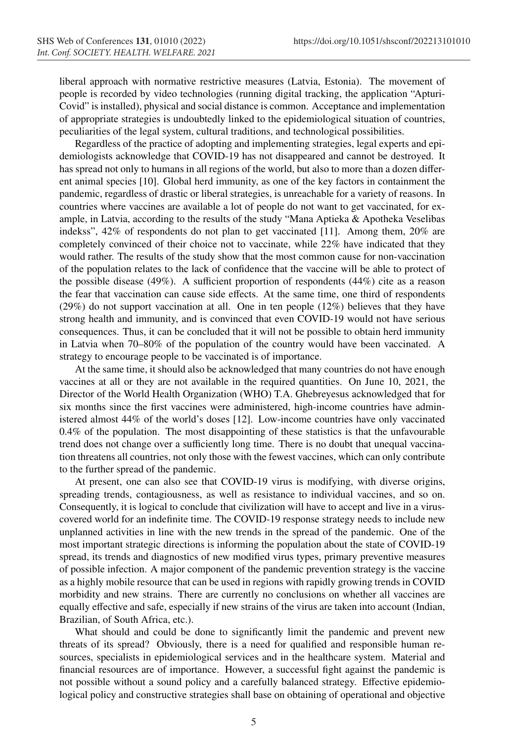liberal approach with normative restrictive measures (Latvia, Estonia). The movement of people is recorded by video technologies (running digital tracking, the application "Apturi-Covid" is installed), physical and social distance is common. Acceptance and implementation of appropriate strategies is undoubtedly linked to the epidemiological situation of countries, peculiarities of the legal system, cultural traditions, and technological possibilities.

Regardless of the practice of adopting and implementing strategies, legal experts and epidemiologists acknowledge that COVID-19 has not disappeared and cannot be destroyed. It has spread not only to humans in all regions of the world, but also to more than a dozen different animal species [10]. Global herd immunity, as one of the key factors in containment the pandemic, regardless of drastic or liberal strategies, is unreachable for a variety of reasons. In countries where vaccines are available a lot of people do not want to get vaccinated, for example, in Latvia, according to the results of the study "Mana Aptieka & Apotheka Veselibas indekss", 42% of respondents do not plan to get vaccinated [11]. Among them, 20% are completely convinced of their choice not to vaccinate, while 22% have indicated that they would rather. The results of the study show that the most common cause for non-vaccination of the population relates to the lack of confidence that the vaccine will be able to protect of the possible disease (49%). A sufficient proportion of respondents (44%) cite as a reason the fear that vaccination can cause side effects. At the same time, one third of respondents (29%) do not support vaccination at all. One in ten people (12%) believes that they have strong health and immunity, and is convinced that even COVID-19 would not have serious consequences. Thus, it can be concluded that it will not be possible to obtain herd immunity in Latvia when 70–80% of the population of the country would have been vaccinated. A strategy to encourage people to be vaccinated is of importance.

At the same time, it should also be acknowledged that many countries do not have enough vaccines at all or they are not available in the required quantities. On June 10, 2021, the Director of the World Health Organization (WHO) T.A. Ghebreyesus acknowledged that for six months since the first vaccines were administered, high-income countries have administered almost 44% of the world's doses [12]. Low-income countries have only vaccinated 0.4% of the population. The most disappointing of these statistics is that the unfavourable trend does not change over a sufficiently long time. There is no doubt that unequal vaccination threatens all countries, not only those with the fewest vaccines, which can only contribute to the further spread of the pandemic.

At present, one can also see that COVID-19 virus is modifying, with diverse origins, spreading trends, contagiousness, as well as resistance to individual vaccines, and so on. Consequently, it is logical to conclude that civilization will have to accept and live in a viruscovered world for an indefinite time. The COVID-19 response strategy needs to include new unplanned activities in line with the new trends in the spread of the pandemic. One of the most important strategic directions is informing the population about the state of COVID-19 spread, its trends and diagnostics of new modified virus types, primary preventive measures of possible infection. A major component of the pandemic prevention strategy is the vaccine as a highly mobile resource that can be used in regions with rapidly growing trends in COVID morbidity and new strains. There are currently no conclusions on whether all vaccines are equally effective and safe, especially if new strains of the virus are taken into account (Indian, Brazilian, of South Africa, etc.).

What should and could be done to significantly limit the pandemic and prevent new threats of its spread? Obviously, there is a need for qualified and responsible human resources, specialists in epidemiological services and in the healthcare system. Material and financial resources are of importance. However, a successful fight against the pandemic is not possible without a sound policy and a carefully balanced strategy. Effective epidemiological policy and constructive strategies shall base on obtaining of operational and objective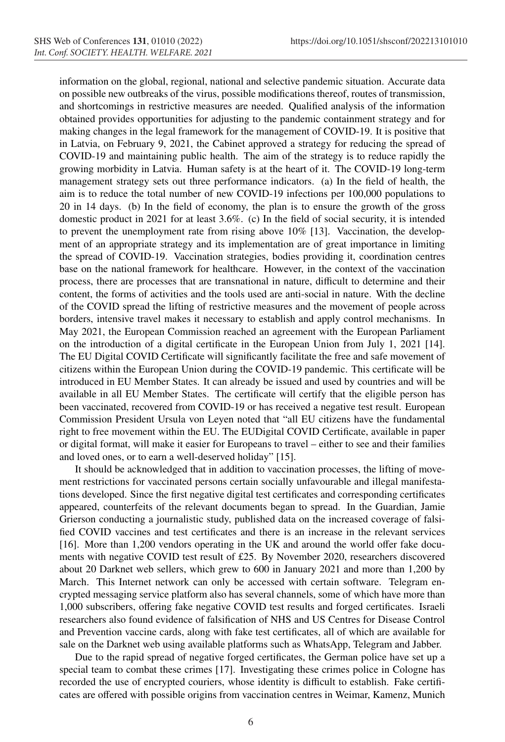information on the global, regional, national and selective pandemic situation. Accurate data on possible new outbreaks of the virus, possible modifications thereof, routes of transmission, and shortcomings in restrictive measures are needed. Qualified analysis of the information obtained provides opportunities for adjusting to the pandemic containment strategy and for making changes in the legal framework for the management of COVID-19. It is positive that in Latvia, on February 9, 2021, the Cabinet approved a strategy for reducing the spread of COVID-19 and maintaining public health. The aim of the strategy is to reduce rapidly the growing morbidity in Latvia. Human safety is at the heart of it. The COVID-19 long-term management strategy sets out three performance indicators. (a) In the field of health, the aim is to reduce the total number of new COVID-19 infections per 100,000 populations to 20 in 14 days. (b) In the field of economy, the plan is to ensure the growth of the gross domestic product in 2021 for at least 3.6%. (c) In the field of social security, it is intended to prevent the unemployment rate from rising above 10% [13]. Vaccination, the development of an appropriate strategy and its implementation are of great importance in limiting the spread of COVID-19. Vaccination strategies, bodies providing it, coordination centres base on the national framework for healthcare. However, in the context of the vaccination process, there are processes that are transnational in nature, difficult to determine and their content, the forms of activities and the tools used are anti-social in nature. With the decline of the COVID spread the lifting of restrictive measures and the movement of people across borders, intensive travel makes it necessary to establish and apply control mechanisms. In May 2021, the European Commission reached an agreement with the European Parliament on the introduction of a digital certificate in the European Union from July 1, 2021 [14]. The EU Digital COVID Certificate will significantly facilitate the free and safe movement of citizens within the European Union during the COVID-19 pandemic. This certificate will be introduced in EU Member States. It can already be issued and used by countries and will be available in all EU Member States. The certificate will certify that the eligible person has been vaccinated, recovered from COVID-19 or has received a negative test result. European Commission President Ursula von Leyen noted that "all EU citizens have the fundamental right to free movement within the EU. The EUDigital COVID Certificate, available in paper or digital format, will make it easier for Europeans to travel – either to see and their families and loved ones, or to earn a well-deserved holiday" [15].

It should be acknowledged that in addition to vaccination processes, the lifting of movement restrictions for vaccinated persons certain socially unfavourable and illegal manifestations developed. Since the first negative digital test certificates and corresponding certificates appeared, counterfeits of the relevant documents began to spread. In the Guardian, Jamie Grierson conducting a journalistic study, published data on the increased coverage of falsified COVID vaccines and test certificates and there is an increase in the relevant services [16]. More than 1,200 vendors operating in the UK and around the world offer fake documents with negative COVID test result of £25. By November 2020, researchers discovered about 20 Darknet web sellers, which grew to 600 in January 2021 and more than 1,200 by March. This Internet network can only be accessed with certain software. Telegram encrypted messaging service platform also has several channels, some of which have more than 1,000 subscribers, offering fake negative COVID test results and forged certificates. Israeli researchers also found evidence of falsification of NHS and US Centres for Disease Control and Prevention vaccine cards, along with fake test certificates, all of which are available for sale on the Darknet web using available platforms such as WhatsApp, Telegram and Jabber.

Due to the rapid spread of negative forged certificates, the German police have set up a special team to combat these crimes [17]. Investigating these crimes police in Cologne has recorded the use of encrypted couriers, whose identity is difficult to establish. Fake certificates are offered with possible origins from vaccination centres in Weimar, Kamenz, Munich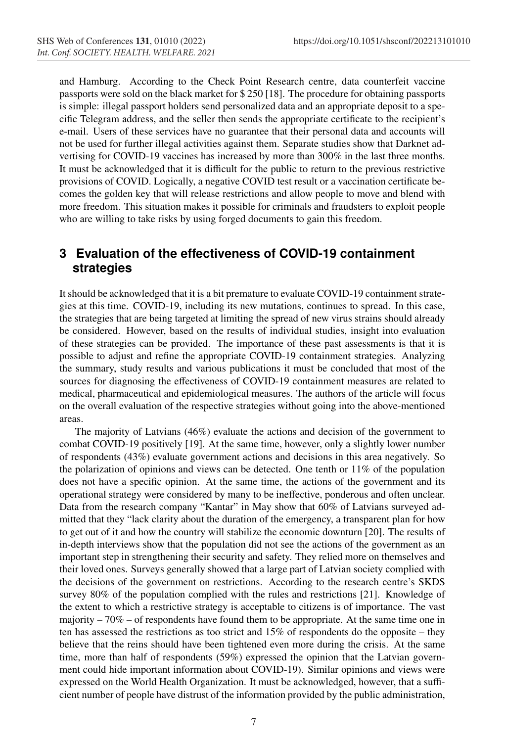and Hamburg. According to the Check Point Research centre, data counterfeit vaccine passports were sold on the black market for \$ 250 [18]. The procedure for obtaining passports is simple: illegal passport holders send personalized data and an appropriate deposit to a specific Telegram address, and the seller then sends the appropriate certificate to the recipient's e-mail. Users of these services have no guarantee that their personal data and accounts will not be used for further illegal activities against them. Separate studies show that Darknet advertising for COVID-19 vaccines has increased by more than 300% in the last three months. It must be acknowledged that it is difficult for the public to return to the previous restrictive provisions of COVID. Logically, a negative COVID test result or a vaccination certificate becomes the golden key that will release restrictions and allow people to move and blend with more freedom. This situation makes it possible for criminals and fraudsters to exploit people who are willing to take risks by using forged documents to gain this freedom.

### **3 Evaluation of the effectiveness of COVID-19 containment strategies**

It should be acknowledged that it is a bit premature to evaluate COVID-19 containment strategies at this time. COVID-19, including its new mutations, continues to spread. In this case, the strategies that are being targeted at limiting the spread of new virus strains should already be considered. However, based on the results of individual studies, insight into evaluation of these strategies can be provided. The importance of these past assessments is that it is possible to adjust and refine the appropriate COVID-19 containment strategies. Analyzing the summary, study results and various publications it must be concluded that most of the sources for diagnosing the effectiveness of COVID-19 containment measures are related to medical, pharmaceutical and epidemiological measures. The authors of the article will focus on the overall evaluation of the respective strategies without going into the above-mentioned areas.

The majority of Latvians (46%) evaluate the actions and decision of the government to combat COVID-19 positively [19]. At the same time, however, only a slightly lower number of respondents (43%) evaluate government actions and decisions in this area negatively. So the polarization of opinions and views can be detected. One tenth or  $11\%$  of the population does not have a specific opinion. At the same time, the actions of the government and its operational strategy were considered by many to be ineffective, ponderous and often unclear. Data from the research company "Kantar" in May show that 60% of Latvians surveyed admitted that they "lack clarity about the duration of the emergency, a transparent plan for how to get out of it and how the country will stabilize the economic downturn [20]. The results of in-depth interviews show that the population did not see the actions of the government as an important step in strengthening their security and safety. They relied more on themselves and their loved ones. Surveys generally showed that a large part of Latvian society complied with the decisions of the government on restrictions. According to the research centre's SKDS survey 80% of the population complied with the rules and restrictions [21]. Knowledge of the extent to which a restrictive strategy is acceptable to citizens is of importance. The vast majority  $-70\%$  – of respondents have found them to be appropriate. At the same time one in ten has assessed the restrictions as too strict and 15% of respondents do the opposite – they believe that the reins should have been tightened even more during the crisis. At the same time, more than half of respondents (59%) expressed the opinion that the Latvian government could hide important information about COVID-19). Similar opinions and views were expressed on the World Health Organization. It must be acknowledged, however, that a sufficient number of people have distrust of the information provided by the public administration,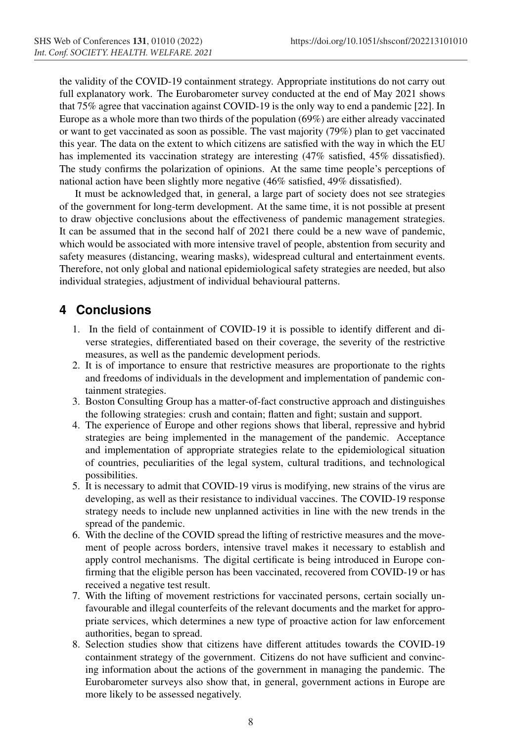the validity of the COVID-19 containment strategy. Appropriate institutions do not carry out full explanatory work. The Eurobarometer survey conducted at the end of May 2021 shows that 75% agree that vaccination against COVID-19 is the only way to end a pandemic [22]. In Europe as a whole more than two thirds of the population (69%) are either already vaccinated or want to get vaccinated as soon as possible. The vast majority (79%) plan to get vaccinated this year. The data on the extent to which citizens are satisfied with the way in which the EU has implemented its vaccination strategy are interesting (47% satisfied, 45% dissatisfied). The study confirms the polarization of opinions. At the same time people's perceptions of national action have been slightly more negative (46% satisfied, 49% dissatisfied).

It must be acknowledged that, in general, a large part of society does not see strategies of the government for long-term development. At the same time, it is not possible at present to draw objective conclusions about the effectiveness of pandemic management strategies. It can be assumed that in the second half of 2021 there could be a new wave of pandemic, which would be associated with more intensive travel of people, abstention from security and safety measures (distancing, wearing masks), widespread cultural and entertainment events. Therefore, not only global and national epidemiological safety strategies are needed, but also individual strategies, adjustment of individual behavioural patterns.

## **4 Conclusions**

- 1. In the field of containment of COVID-19 it is possible to identify different and diverse strategies, differentiated based on their coverage, the severity of the restrictive measures, as well as the pandemic development periods.
- 2. It is of importance to ensure that restrictive measures are proportionate to the rights and freedoms of individuals in the development and implementation of pandemic containment strategies.
- 3. Boston Consulting Group has a matter-of-fact constructive approach and distinguishes the following strategies: crush and contain; flatten and fight; sustain and support.
- 4. The experience of Europe and other regions shows that liberal, repressive and hybrid strategies are being implemented in the management of the pandemic. Acceptance and implementation of appropriate strategies relate to the epidemiological situation of countries, peculiarities of the legal system, cultural traditions, and technological possibilities.
- 5. It is necessary to admit that COVID-19 virus is modifying, new strains of the virus are developing, as well as their resistance to individual vaccines. The COVID-19 response strategy needs to include new unplanned activities in line with the new trends in the spread of the pandemic.
- 6. With the decline of the COVID spread the lifting of restrictive measures and the movement of people across borders, intensive travel makes it necessary to establish and apply control mechanisms. The digital certificate is being introduced in Europe confirming that the eligible person has been vaccinated, recovered from COVID-19 or has received a negative test result.
- 7. With the lifting of movement restrictions for vaccinated persons, certain socially unfavourable and illegal counterfeits of the relevant documents and the market for appropriate services, which determines a new type of proactive action for law enforcement authorities, began to spread.
- 8. Selection studies show that citizens have different attitudes towards the COVID-19 containment strategy of the government. Citizens do not have sufficient and convincing information about the actions of the government in managing the pandemic. The Eurobarometer surveys also show that, in general, government actions in Europe are more likely to be assessed negatively.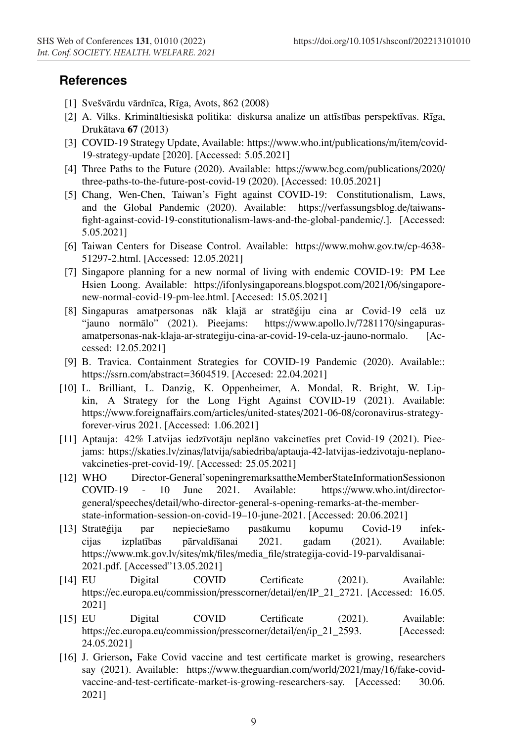#### **References**

- [1] Svešvārdu vārdnīca, Rīga, Avots, 862 (2008)
- [2] A. Vilks. Krimināltiesiskā politika: diskursa analize un attīstības perspektīvas. Rīga, Drukātava **67** (2013)
- [3] COVID-19 Strategy Update, Available: https://www.who.int/publications/m/item/covid-19-strategy-update [2020]. [Accessed: 5.05.2021]
- [4] Three Paths to the Future (2020). Available: https://www.bcg.com/publications/2020/ three-paths-to-the-future-post-covid-19 (2020). [Accessed: 10.05.2021]
- [5] Chang, Wen-Chen, Taiwan's Fight against COVID-19: Constitutionalism, Laws, and the Global Pandemic (2020). Available: https://verfassungsblog.de/taiwansfight-against-covid-19-constitutionalism-laws-and-the-global-pandemic/.]. [Accessed: 5.05.2021]
- [6] Taiwan Centers for Disease Control. Available: https://www.mohw.gov.tw/cp-4638- 51297-2.html. [Accessed: 12.05.2021]
- [7] Singapore planning for a new normal of living with endemic COVID-19: PM Lee Hsien Loong. Available: https://ifonlysingaporeans.blogspot.com/2021/06/singaporenew-normal-covid-19-pm-lee.html. [Accesed: 15.05.2021]
- [8] Singapuras amatpersonas nāk klajā ar stratēģiju cina ar Covid-19 celā uz "jauno normālo" (2021). Pieejams: https://www.apollo.lv/7281170/singapurasamatpersonas-nak-klaja-ar-strategiju-cina-ar-covid-19-cela-uz-jauno-normalo. [Accessed: 12.05.2021]
- [9] B. Travica. Containment Strategies for COVID-19 Pandemic (2020). Available:: https://ssrn.com/abstract=3604519. [Accesed: 22.04.2021]
- [10] L. Brilliant, L. Danzig, K. Oppenheimer, A. Mondal, R. Bright, W. Lipkin, A Strategy for the Long Fight Against COVID-19 (2021). Available: https://www.foreignaffairs.com/articles/united-states/2021-06-08/coronavirus-strategyforever-virus 2021. [Accessed: 1.06.2021]
- [11] Aptauja: 42% Latvijas iedzīvotāju neplāno vakcinetīes pret Covid-19 (2021). Pieejams: https://skaties.lv/zinas/latvija/sabiedriba/aptauja-42-latvijas-iedzivotaju-neplanovakcineties-pret-covid-19/. [Accessed: 25.05.2021]
- [12] WHO Director-General'sopeningremarksattheMemberStateInformationSessionon COVID-19 - 10 June 2021. Available: https://www.who.int/directorgeneral/speeches/detail/who-director-general-s-opening-remarks-at-the-memberstate-information-session-on-covid-19–10-june-2021. [Accessed: 20.06.2021]
- [13] Strategija par nepieciešamo pasākumu kopumu Covid-19 infekcijas izplatības pārvaldīšanai 2021. gadam (2021). Available: https://www.mk.gov.lv/sites/mk/files/media\_file/strategija-covid-19-parvaldisanai-2021.pdf. [Accessed"13.05.2021]
- [14] EU Digital COVID Certificate (2021). Available: https://ec.europa.eu/commission/presscorner/detail/en/IP\_21\_2721. [Accessed: 16.05. 2021]
- [15] EU Digital COVID Certificate (2021). Available: https://ec.europa.eu/commission/presscorner/detail/en/ip\_21\_2593. [Accessed: 24.05.2021]
- [16] J. Grierson, Fake Covid vaccine and test certificate market is growing, researchers say (2021). Available: https://www.theguardian.com/world/2021/may/16/fake-covidvaccine-and-test-certificate-market-is-growing-researchers-say. [Accessed: 30.06. 2021]